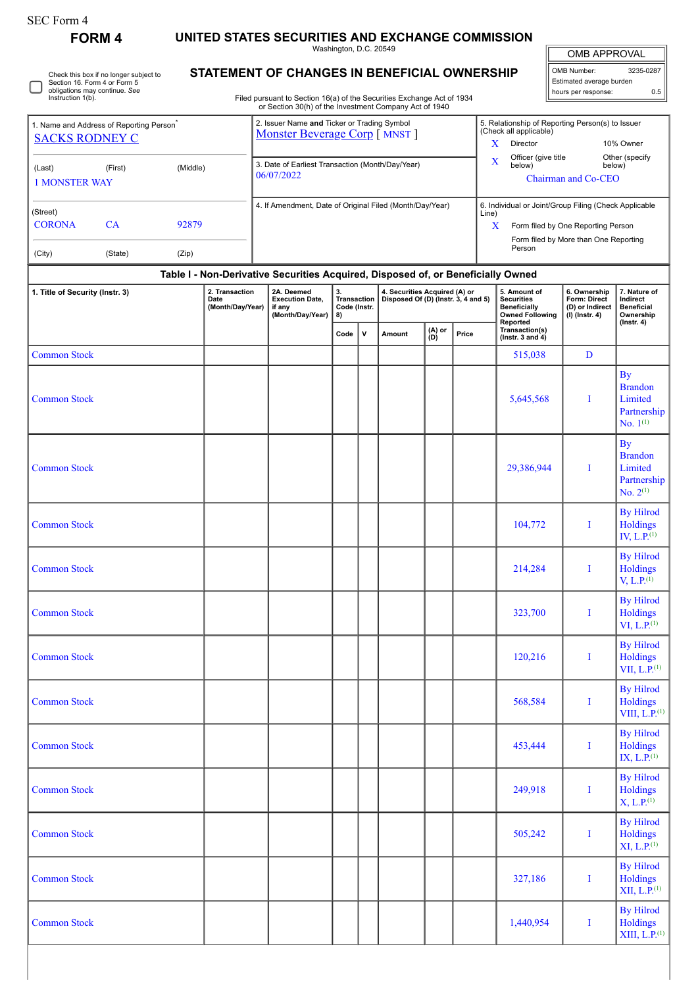## **FORM 4 UNITED STATES SECURITIES AND EXCHANGE COMMISSION**

Washington, D.C. 20549

OMB APPROVAL OMB Number: 3235-0287 Estimated average burden

hours per response: 0.5

By Hilrod Holdings  $XIII, L.P.<sup>(1)</sup>$ 

|  | Check this box if no longer subject to<br>Section 16. Form 4 or Form 5<br>obligations may continue. See<br>Instruction 1(b). |
|--|------------------------------------------------------------------------------------------------------------------------------|
|--|------------------------------------------------------------------------------------------------------------------------------|

## **STATEMENT OF CHANGES IN BENEFICIAL OWNERSHIP**

Filed pursuant to Section 16(a) of the Securities Exchange Act of 1934 or Section 30(h) of the Investment Company Act of 1940

| <b>SACKS RODNEY C</b>           | 1. Name and Address of Reporting Person <sup>®</sup>                             |          | 2. Issuer Name and Ticker or Trading Symbol<br>Monster Beverage Corp [ MNST ] |                                                                    |                                                |   |                                                                      | 5. Relationship of Reporting Person(s) to Issuer<br>(Check all applicable) |                                               |                                                                                                                                                    |                                                                     |                                                                                     |
|---------------------------------|----------------------------------------------------------------------------------|----------|-------------------------------------------------------------------------------|--------------------------------------------------------------------|------------------------------------------------|---|----------------------------------------------------------------------|----------------------------------------------------------------------------|-----------------------------------------------|----------------------------------------------------------------------------------------------------------------------------------------------------|---------------------------------------------------------------------|-------------------------------------------------------------------------------------|
|                                 |                                                                                  |          |                                                                               |                                                                    |                                                |   |                                                                      | X<br>Director                                                              |                                               | 10% Owner                                                                                                                                          |                                                                     |                                                                                     |
| (Last)<br><b>1 MONSTER WAY</b>  | (First)                                                                          | (Middle) |                                                                               | 3. Date of Earliest Transaction (Month/Day/Year)<br>06/07/2022     |                                                |   |                                                                      |                                                                            | Officer (give title<br>$\mathbf{x}$<br>below) | below)<br>Chairman and Co-CEO                                                                                                                      | Other (specify                                                      |                                                                                     |
| (Street)<br><b>CORONA</b>       | CA                                                                               | 92879    |                                                                               | 4. If Amendment, Date of Original Filed (Month/Day/Year)           |                                                |   |                                                                      |                                                                            |                                               | 6. Individual or Joint/Group Filing (Check Applicable<br>Line)<br>X<br>Form filed by One Reporting Person<br>Form filed by More than One Reporting |                                                                     |                                                                                     |
| (City)                          | (State)                                                                          | (Zip)    |                                                                               |                                                                    |                                                |   |                                                                      |                                                                            | Person                                        |                                                                                                                                                    |                                                                     |                                                                                     |
|                                 | Table I - Non-Derivative Securities Acquired, Disposed of, or Beneficially Owned |          |                                                                               |                                                                    |                                                |   |                                                                      |                                                                            |                                               |                                                                                                                                                    |                                                                     |                                                                                     |
| 1. Title of Security (Instr. 3) |                                                                                  |          | 2. Transaction<br>Date<br>(Month/Day/Year)                                    | 2A. Deemed<br><b>Execution Date.</b><br>if any<br>(Month/Day/Year) | 3.<br><b>Transaction</b><br>Code (Instr.<br>8) |   | 4. Securities Acquired (A) or<br>Disposed Of (D) (Instr. 3, 4 and 5) |                                                                            |                                               | 5. Amount of<br><b>Securities</b><br>Beneficially<br><b>Owned Following</b>                                                                        | 6. Ownership<br>Form: Direct<br>(D) or Indirect<br>$(I)$ (Instr. 4) | 7. Nature of<br>Indirect<br><b>Beneficial</b><br>Ownership                          |
|                                 |                                                                                  |          |                                                                               |                                                                    | Code                                           | v | Amount                                                               | (A) or<br>(D)                                                              | Price                                         | Reported<br>Transaction(s)<br>( $lnstr. 3 and 4$ )                                                                                                 |                                                                     | $($ Instr. 4 $)$                                                                    |
| <b>Common Stock</b>             |                                                                                  |          |                                                                               |                                                                    |                                                |   |                                                                      |                                                                            |                                               | 515,038                                                                                                                                            | D                                                                   |                                                                                     |
| <b>Common Stock</b>             |                                                                                  |          |                                                                               |                                                                    |                                                |   |                                                                      |                                                                            |                                               | 5,645,568                                                                                                                                          |                                                                     | $\mathbf{B}\mathbf{v}$<br><b>Brandon</b><br>Limited<br>Partnership<br>No. $1^{(1)}$ |

| 1. Title of Security (Instr. 3) | Table T - Non-Derivative Securities Acquired, Disposed of, or Beneficially Owned<br>2. Transaction<br>Date<br>(Month/Day/Year) | 2A. Deemed<br><b>Execution Date,</b><br>if any<br>(Month/Day/Year) | 3.<br><b>Transaction</b><br>Code (Instr.<br>8) |              | 4. Securities Acquired (A) or<br>Disposed Of (D) (Instr. 3, 4 and 5) |               |       | 5. Amount of<br><b>Securities</b><br><b>Beneficially</b><br><b>Owned Following</b> | 6. Ownership<br>Form: Direct<br>(D) or Indirect<br>$(I)$ (Instr. 4) | 7. Nature of<br>Indirect<br><b>Beneficial</b><br>Ownership                    |
|---------------------------------|--------------------------------------------------------------------------------------------------------------------------------|--------------------------------------------------------------------|------------------------------------------------|--------------|----------------------------------------------------------------------|---------------|-------|------------------------------------------------------------------------------------|---------------------------------------------------------------------|-------------------------------------------------------------------------------|
|                                 |                                                                                                                                |                                                                    | Code                                           | $\mathsf{v}$ | Amount                                                               | (A) or<br>(D) | Price | Reported<br>Transaction(s)<br>$($ Instr. 3 and 4 $)$                               |                                                                     | $($ Instr. 4 $)$                                                              |
| <b>Common Stock</b>             |                                                                                                                                |                                                                    |                                                |              |                                                                      |               |       | 515,038                                                                            | D                                                                   |                                                                               |
| <b>Common Stock</b>             |                                                                                                                                |                                                                    |                                                |              |                                                                      |               |       | 5,645,568                                                                          | I                                                                   | <b>By</b><br><b>Brandon</b><br>Limited<br>Partnership<br>No. $1^{(1)}$        |
| <b>Common Stock</b>             |                                                                                                                                |                                                                    |                                                |              |                                                                      |               |       | 29,386,944                                                                         | I                                                                   | <b>By</b><br><b>Brandon</b><br>Limited<br>Partnership<br>No. 2 <sup>(1)</sup> |
| <b>Common Stock</b>             |                                                                                                                                |                                                                    |                                                |              |                                                                      |               |       | 104,772                                                                            | I                                                                   | <b>By Hilrod</b><br>Holdings<br>IV, $L.P.$ <sup>(1)</sup>                     |
| <b>Common Stock</b>             |                                                                                                                                |                                                                    |                                                |              |                                                                      |               |       | 214,284                                                                            | I                                                                   | <b>By Hilrod</b><br>Holdings<br>V, L.P. <sup>(1)</sup>                        |
| <b>Common Stock</b>             |                                                                                                                                |                                                                    |                                                |              |                                                                      |               |       | 323,700                                                                            | I                                                                   | <b>By Hilrod</b><br>Holdings<br>VI, L.P. <sup>(1)</sup>                       |
| <b>Common Stock</b>             |                                                                                                                                |                                                                    |                                                |              |                                                                      |               |       | 120,216                                                                            | I                                                                   | <b>By Hilrod</b><br>Holdings<br>VII, L.P. <sup>(1)</sup>                      |
| <b>Common Stock</b>             |                                                                                                                                |                                                                    |                                                |              |                                                                      |               |       | 568,584                                                                            | I                                                                   | <b>By Hilrod</b><br>Holdings<br>VIII, $L.P.$ <sup>(1)</sup>                   |
| <b>Common Stock</b>             |                                                                                                                                |                                                                    |                                                |              |                                                                      |               |       | 453,444                                                                            | I                                                                   | <b>By Hilrod</b><br>Holdings<br>$IX, L.P.$ <sup>(1)</sup>                     |
| <b>Common Stock</b>             |                                                                                                                                |                                                                    |                                                |              |                                                                      |               |       | 249,918                                                                            | I                                                                   | <b>By Hilrod</b><br>Holdings<br>$X, L.P.$ <sup>(1)</sup>                      |
| <b>Common Stock</b>             |                                                                                                                                |                                                                    |                                                |              |                                                                      |               |       | 505,242                                                                            | I                                                                   | <b>By Hilrod</b><br>Holdings<br>XI, L.P. <sup>(1)</sup>                       |
| <b>Common Stock</b>             |                                                                                                                                |                                                                    |                                                |              |                                                                      |               |       | 327,186                                                                            | I                                                                   | <b>By Hilrod</b><br>Holdings<br>XII, L.P. <sup>(1)</sup>                      |

Common Stock I and Stock I and Stock I and Stock I and Stock I and Stock I and Stock I and Stock I and Stock I and Stock I and Stock I and Stock I and Stock I and Stock I and Stock I and Stock I and Stock I and Stock I and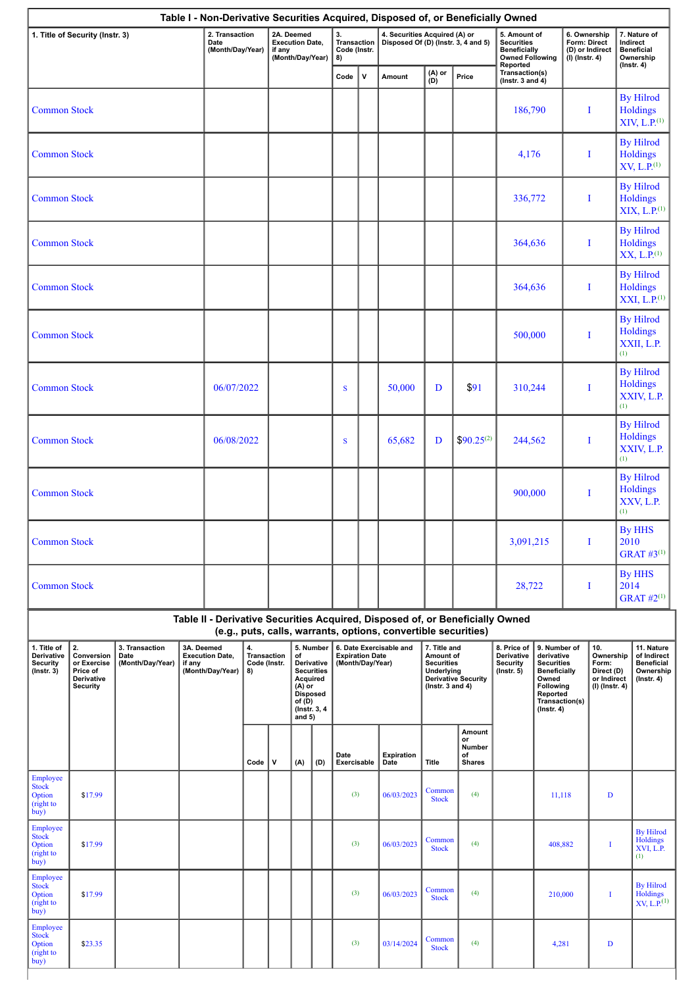|                                                           | 1. Title of Security (Instr. 3)                                              |                                            |                      | 2. Transaction<br>Date<br>(Month/Day/Year) | 2A. Deemed<br><b>Execution Date,</b><br>if any<br>(Month/Day/Year) |   |                                                                    | 3.<br>Transaction<br>Code (Instr.<br>8)                       |                     | 4. Securities Acquired (A) or<br>Disposed Of (D) (Instr. 3, 4 and 5) |                                                                                                                                                                                                                                                               |                        | 5. Amount of<br><b>Securities</b><br><b>Beneficially</b><br><b>Owned Following</b> |                                                                                                                              | 6. Ownership<br>Form: Direct<br>(D) or Indirect<br>(I) (Instr. 4) |                                                                          | 7. Nature of<br>Indirect<br><b>Beneficial</b><br>Ownership<br>$($ Instr. 4 $)$  |                                                                 |
|-----------------------------------------------------------|------------------------------------------------------------------------------|--------------------------------------------|----------------------|--------------------------------------------|--------------------------------------------------------------------|---|--------------------------------------------------------------------|---------------------------------------------------------------|---------------------|----------------------------------------------------------------------|---------------------------------------------------------------------------------------------------------------------------------------------------------------------------------------------------------------------------------------------------------------|------------------------|------------------------------------------------------------------------------------|------------------------------------------------------------------------------------------------------------------------------|-------------------------------------------------------------------|--------------------------------------------------------------------------|---------------------------------------------------------------------------------|-----------------------------------------------------------------|
|                                                           |                                                                              |                                            |                      |                                            |                                                                    |   |                                                                    |                                                               | Code                | $\mathsf{v}$                                                         | Amount                                                                                                                                                                                                                                                        | (A) or<br>(D)          | Price                                                                              | Reported<br>Transaction(s)<br>( $lnstr. 3 and 4$ )                                                                           |                                                                   |                                                                          |                                                                                 |                                                                 |
| <b>Common Stock</b>                                       |                                                                              |                                            |                      |                                            |                                                                    |   |                                                                    |                                                               |                     |                                                                      |                                                                                                                                                                                                                                                               |                        |                                                                                    | 186,790                                                                                                                      |                                                                   |                                                                          | Ι                                                                               | <b>By Hilrod</b><br><b>Holdings</b><br>XIV, L.P. <sup>(1)</sup> |
| <b>Common Stock</b>                                       |                                                                              |                                            |                      |                                            |                                                                    |   |                                                                    |                                                               |                     |                                                                      |                                                                                                                                                                                                                                                               |                        |                                                                                    | 4,176                                                                                                                        |                                                                   |                                                                          | I                                                                               | <b>By Hilrod</b><br><b>Holdings</b><br>XV, L.P. <sup>(1)</sup>  |
| <b>Common Stock</b>                                       |                                                                              |                                            |                      |                                            |                                                                    |   |                                                                    |                                                               |                     |                                                                      |                                                                                                                                                                                                                                                               |                        |                                                                                    | 336,772                                                                                                                      |                                                                   |                                                                          | I                                                                               | <b>By Hilrod</b><br><b>Holdings</b><br>XIX, L.P. <sup>(1)</sup> |
| <b>Common Stock</b>                                       |                                                                              |                                            |                      |                                            |                                                                    |   |                                                                    |                                                               |                     |                                                                      |                                                                                                                                                                                                                                                               |                        |                                                                                    | 364,636                                                                                                                      |                                                                   |                                                                          | I                                                                               | <b>By Hilrod</b><br>Holdings<br>XX, L.P. <sup>(1)</sup>         |
| <b>Common Stock</b>                                       |                                                                              |                                            |                      |                                            |                                                                    |   |                                                                    |                                                               |                     |                                                                      |                                                                                                                                                                                                                                                               |                        |                                                                                    | 364,636                                                                                                                      |                                                                   |                                                                          | I                                                                               | <b>By Hilrod</b><br><b>Holdings</b><br>XXI, L.P. <sup>(1)</sup> |
| <b>Common Stock</b>                                       |                                                                              |                                            |                      |                                            |                                                                    |   |                                                                    |                                                               |                     |                                                                      |                                                                                                                                                                                                                                                               |                        |                                                                                    | 500,000                                                                                                                      |                                                                   |                                                                          | I                                                                               | <b>By Hilrod</b><br><b>Holdings</b><br>XXII, L.P.<br>(1)        |
| <b>Common Stock</b>                                       |                                                                              |                                            |                      | 06/07/2022                                 |                                                                    |   |                                                                    |                                                               | S                   |                                                                      | 50,000                                                                                                                                                                                                                                                        | D                      | \$91                                                                               | 310,244                                                                                                                      |                                                                   |                                                                          | I                                                                               | <b>By Hilrod</b><br><b>Holdings</b><br>XXIV, L.P.<br>(1)        |
| <b>Common Stock</b>                                       |                                                                              |                                            |                      | 06/08/2022                                 |                                                                    |   |                                                                    |                                                               | S                   |                                                                      | 65,682                                                                                                                                                                                                                                                        | D                      | $$90.25^{(2)}$$                                                                    | 244,562                                                                                                                      |                                                                   |                                                                          | I                                                                               | <b>By Hilrod</b><br><b>Holdings</b><br>XXIV, L.P.<br>(1)        |
| <b>Common Stock</b>                                       |                                                                              |                                            |                      |                                            |                                                                    |   |                                                                    |                                                               |                     |                                                                      |                                                                                                                                                                                                                                                               |                        |                                                                                    | 900,000                                                                                                                      |                                                                   |                                                                          | I                                                                               | <b>By Hilrod</b><br><b>Holdings</b><br>XXV, L.P.<br>(1)         |
| <b>Common Stock</b>                                       |                                                                              |                                            |                      |                                            |                                                                    |   |                                                                    |                                                               |                     |                                                                      |                                                                                                                                                                                                                                                               |                        |                                                                                    | 3,091,215                                                                                                                    |                                                                   |                                                                          | $\perp$                                                                         | By HHS<br>2010<br><b>GRAT #3(1)</b>                             |
| <b>Common Stock</b>                                       |                                                                              |                                            |                      |                                            |                                                                    |   |                                                                    |                                                               |                     |                                                                      |                                                                                                                                                                                                                                                               |                        |                                                                                    | 28,722                                                                                                                       |                                                                   |                                                                          | I                                                                               | <b>By HHS</b><br>2014<br>$GRAT$ #2 <sup>(1)</sup>               |
|                                                           |                                                                              |                                            |                      |                                            |                                                                    |   |                                                                    |                                                               |                     |                                                                      | Table II - Derivative Securities Acquired, Disposed of, or Beneficially Owned                                                                                                                                                                                 |                        |                                                                                    |                                                                                                                              |                                                                   |                                                                          |                                                                                 |                                                                 |
| 1. Title of<br>Derivative<br>Security<br>$($ Instr. 3 $)$ | 2.<br>Conversion<br>or Exercise<br>Price of<br>Derivative<br><b>Security</b> | 3. Transaction<br>Date<br>(Month/Day/Year) | 3A. Deemed<br>if any | <b>Execution Date,</b><br>(Month/Day/Year) | 4.<br><b>Transaction</b><br>Code (Instr.<br>8)                     |   | of<br>Acquired<br>$(A)$ or<br><b>Disposed</b><br>of(D)<br>and $5)$ | 5. Number<br>Derivative<br><b>Securities</b><br>(Instr. 3, 4) |                     |                                                                      | (e.g., puts, calls, warrants, options, convertible securities)<br>6. Date Exercisable and<br>7. Title and<br><b>Expiration Date</b><br>Amount of<br>(Month/Day/Year)<br><b>Securities</b><br>Underlying<br><b>Derivative Security</b><br>( $lnstr. 3 and 4$ ) |                        | 8. Price of<br>Derivative<br><b>Security</b><br>$($ Instr. 5 $)$                   | 9. Number of<br>derivative<br><b>Securities</b><br><b>Beneficially</b><br>Owned<br>Following<br>Reported<br>$($ Instr. 4 $)$ | Transaction(s)                                                    | 10.<br>Ownership<br>Form:<br>Direct (D)<br>or Indirect<br>(I) (Instr. 4) | 11. Nature<br>of Indirect<br><b>Beneficial</b><br>Ownership<br>$($ Instr. 4 $)$ |                                                                 |
|                                                           |                                                                              |                                            |                      |                                            | Code                                                               | v | (A)                                                                | (D)                                                           | Date<br>Exercisable |                                                                      | Expiration<br>Date                                                                                                                                                                                                                                            | <b>Title</b>           | Amount<br>or<br>Number<br>of<br><b>Shares</b>                                      |                                                                                                                              |                                                                   |                                                                          |                                                                                 |                                                                 |
| Employee<br><b>Stock</b><br>Option<br>(right to<br>buy)   | \$17.99                                                                      |                                            |                      |                                            |                                                                    |   |                                                                    |                                                               | (3)                 |                                                                      | 06/03/2023                                                                                                                                                                                                                                                    | Common<br><b>Stock</b> | (4)                                                                                |                                                                                                                              | 11,118                                                            |                                                                          | $\mathbf D$                                                                     |                                                                 |
| Employee<br><b>Stock</b><br>Option<br>(right to<br>buy)   | \$17.99                                                                      |                                            |                      |                                            |                                                                    |   |                                                                    |                                                               | (3)                 |                                                                      | 06/03/2023                                                                                                                                                                                                                                                    | Common<br><b>Stock</b> | (4)                                                                                |                                                                                                                              |                                                                   | 408,882                                                                  | Ι                                                                               | <b>By Hilrod</b><br>Holdings<br>XVI, L.P.<br>(1)                |
| Employee<br><b>Stock</b><br>Option<br>(right to<br>buy)   | \$17.99                                                                      |                                            |                      |                                            |                                                                    |   |                                                                    |                                                               | (3)                 |                                                                      | 06/03/2023                                                                                                                                                                                                                                                    | Common<br><b>Stock</b> | (4)                                                                                |                                                                                                                              |                                                                   | 210,000                                                                  | I                                                                               | <b>By Hilrod</b><br>Holdings<br>$XY, L.P.$ <sup>(1)</sup>       |
| Employee<br>Stock<br>Option<br>(right to<br>buy)          | \$23.35                                                                      |                                            |                      |                                            |                                                                    |   |                                                                    |                                                               | (3)                 |                                                                      | 03/14/2024                                                                                                                                                                                                                                                    | Common<br><b>Stock</b> | (4)                                                                                |                                                                                                                              | 4,281                                                             |                                                                          | D                                                                               |                                                                 |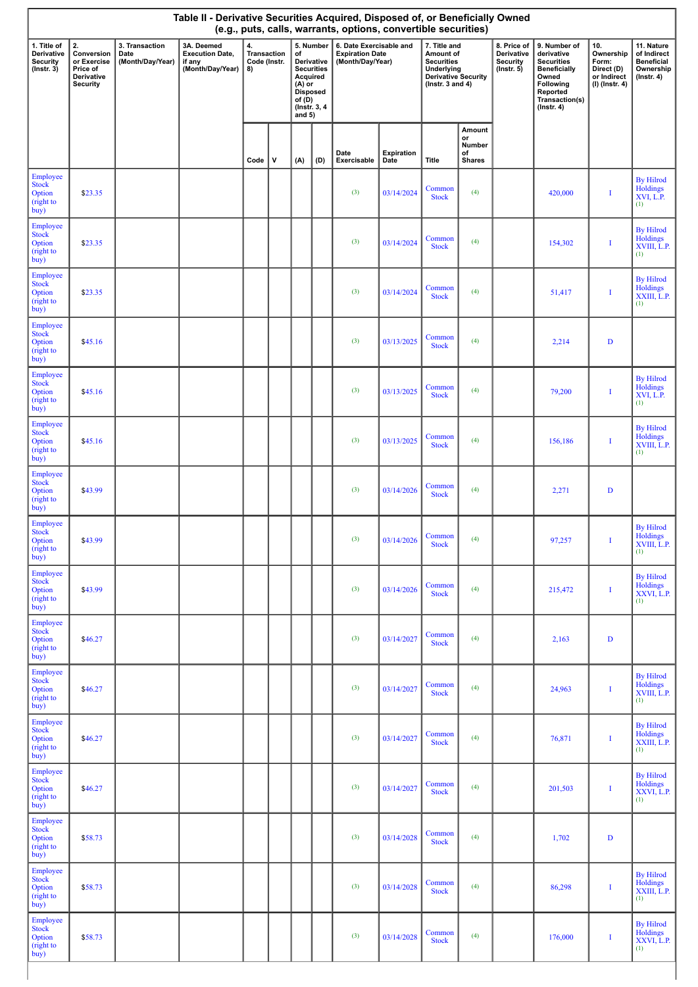| Table II - Derivative Securities Acquired, Disposed of, or Beneficially Owned<br>(e.g., puts, calls, warrants, options, convertible securities) |                                                                              |                                            |                                                                    |                                                |   |                                                                                        |                                              |                                                                       |                    |                                                                                                                           |                                               |                                                                  |                                                                                                                                                |                                                                            |                                                                                 |
|-------------------------------------------------------------------------------------------------------------------------------------------------|------------------------------------------------------------------------------|--------------------------------------------|--------------------------------------------------------------------|------------------------------------------------|---|----------------------------------------------------------------------------------------|----------------------------------------------|-----------------------------------------------------------------------|--------------------|---------------------------------------------------------------------------------------------------------------------------|-----------------------------------------------|------------------------------------------------------------------|------------------------------------------------------------------------------------------------------------------------------------------------|----------------------------------------------------------------------------|---------------------------------------------------------------------------------|
| 1. Title of<br>Derivative<br>Security<br>$($ Instr. 3 $)$                                                                                       | 2.<br>Conversion<br>or Exercise<br>Price of<br>Derivative<br><b>Security</b> | 3. Transaction<br>Date<br>(Month/Day/Year) | 3A. Deemed<br><b>Execution Date,</b><br>if any<br>(Month/Day/Year) | 4.<br><b>Transaction</b><br>Code (Instr.<br>8) |   | of<br>Acquired<br>$(A)$ or<br><b>Disposed</b><br>of $(D)$<br>(Instr. 3, 4)<br>and $5)$ | 5. Number<br>Derivative<br><b>Securities</b> | 6. Date Exercisable and<br><b>Expiration Date</b><br>(Month/Day/Year) |                    | 7. Title and<br>Amount of<br><b>Securities</b><br><b>Underlying</b><br><b>Derivative Security</b><br>( $lnstr. 3 and 4$ ) |                                               | 8. Price of<br>Derivative<br><b>Security</b><br>$($ lnstr. 5 $)$ | 9. Number of<br>derivative<br><b>Securities</b><br><b>Beneficially</b><br>Owned<br>Following<br>Reported<br>Transaction(s)<br>$($ Instr. 4 $)$ | 10.<br>Ownership<br>Form:<br>Direct (D)<br>or Indirect<br>$(I)$ (Instr. 4) | 11. Nature<br>of Indirect<br><b>Beneficial</b><br>Ownership<br>$($ lnstr. 4 $)$ |
|                                                                                                                                                 |                                                                              |                                            |                                                                    | Code                                           | V | (A)                                                                                    | (D)                                          | Date<br>Exercisable                                                   | Expiration<br>Date | Title                                                                                                                     | Amount<br>or<br>Number<br>of<br><b>Shares</b> |                                                                  |                                                                                                                                                |                                                                            |                                                                                 |
| Employee<br>Stock<br>Option<br>(right to<br>buy)                                                                                                | \$23.35                                                                      |                                            |                                                                    |                                                |   |                                                                                        |                                              | (3)                                                                   | 03/14/2024         | Common<br><b>Stock</b>                                                                                                    | (4)                                           |                                                                  | 420,000                                                                                                                                        | I                                                                          | <b>By Hilrod</b><br>Holdings<br>XVI, L.P.<br>(1)                                |
| Employee<br><b>Stock</b><br>Option<br>(right to<br>buy)                                                                                         | \$23.35                                                                      |                                            |                                                                    |                                                |   |                                                                                        |                                              | (3)                                                                   | 03/14/2024         | Common<br><b>Stock</b>                                                                                                    | (4)                                           |                                                                  | 154,302                                                                                                                                        | I                                                                          | <b>By Hilrod</b><br>Holdings<br>XVIII, L.P.<br>(1)                              |
| Employee<br>Stock<br>Option<br>(right to<br>buy)                                                                                                | \$23.35                                                                      |                                            |                                                                    |                                                |   |                                                                                        |                                              | (3)                                                                   | 03/14/2024         | Common<br><b>Stock</b>                                                                                                    | (4)                                           |                                                                  | 51,417                                                                                                                                         | I                                                                          | <b>By Hilrod</b><br>Holdings<br>XXIII, L.P.<br>(1)                              |
| Employee<br><b>Stock</b><br>Option<br>(right to<br>buy)                                                                                         | \$45.16                                                                      |                                            |                                                                    |                                                |   |                                                                                        |                                              | (3)                                                                   | 03/13/2025         | Common<br><b>Stock</b>                                                                                                    | (4)                                           |                                                                  | 2,214                                                                                                                                          | $\mathbf D$                                                                |                                                                                 |
| Employee<br><b>Stock</b><br>Option<br>(right to<br>buy)                                                                                         | \$45.16                                                                      |                                            |                                                                    |                                                |   |                                                                                        |                                              | (3)                                                                   | 03/13/2025         | Common<br><b>Stock</b>                                                                                                    | (4)                                           |                                                                  | 79,200                                                                                                                                         | I                                                                          | <b>By Hilrod</b><br>Holdings<br>XVI, L.P.<br>(1)                                |
| Employee<br><b>Stock</b><br>Option<br>(right to<br>buy)                                                                                         | \$45.16                                                                      |                                            |                                                                    |                                                |   |                                                                                        |                                              | (3)                                                                   | 03/13/2025         | Common<br><b>Stock</b>                                                                                                    | (4)                                           |                                                                  | 156,186                                                                                                                                        | I                                                                          | <b>By Hilrod</b><br>Holdings<br>XVIII, L.P.<br>(1)                              |
| Employee<br><b>Stock</b><br>Option<br>(right to<br>buy)                                                                                         | \$43.99                                                                      |                                            |                                                                    |                                                |   |                                                                                        |                                              | (3)                                                                   | 03/14/2026         | Common<br><b>Stock</b>                                                                                                    | (4)                                           |                                                                  | 2,271                                                                                                                                          | $\mathbf D$                                                                |                                                                                 |
| Employee<br><b>Stock</b><br>Option<br>(right to<br>buy)                                                                                         | \$43.99                                                                      |                                            |                                                                    |                                                |   |                                                                                        |                                              | (3)                                                                   | 03/14/2026         | Common<br><b>Stock</b>                                                                                                    | (4)                                           |                                                                  | 97,257                                                                                                                                         |                                                                            | <b>By Hilrod</b><br>Holdings<br>XVIII, L.P.<br>(1)                              |
| Employee<br><b>Stock</b><br>Option<br>(right to<br>buy)                                                                                         | \$43.99                                                                      |                                            |                                                                    |                                                |   |                                                                                        |                                              | (3)                                                                   | 03/14/2026         | Common<br><b>Stock</b>                                                                                                    | (4)                                           |                                                                  | 215,472                                                                                                                                        | I                                                                          | <b>By Hilrod</b><br>Holdings<br>XXVI, L.P.<br>(1)                               |
| Employee<br><b>Stock</b><br>Option<br>(right to<br>buy)                                                                                         | \$46.27                                                                      |                                            |                                                                    |                                                |   |                                                                                        |                                              | (3)                                                                   | 03/14/2027         | Common<br><b>Stock</b>                                                                                                    | (4)                                           |                                                                  | 2,163                                                                                                                                          | D                                                                          |                                                                                 |
| Employee<br><b>Stock</b><br>Option<br>(right to<br>buy)                                                                                         | \$46.27                                                                      |                                            |                                                                    |                                                |   |                                                                                        |                                              | (3)                                                                   | 03/14/2027         | Common<br><b>Stock</b>                                                                                                    | (4)                                           |                                                                  | 24,963                                                                                                                                         | I                                                                          | <b>By Hilrod</b><br>Holdings<br>XVIII, L.P.<br>(1)                              |
| Employee<br><b>Stock</b><br>Option<br>(right to<br>buy)                                                                                         | \$46.27                                                                      |                                            |                                                                    |                                                |   |                                                                                        |                                              | (3)                                                                   | 03/14/2027         | Common<br><b>Stock</b>                                                                                                    | (4)                                           |                                                                  | 76,871                                                                                                                                         | I                                                                          | <b>By Hilrod</b><br>Holdings<br>XXIII, L.P.<br>(1)                              |
| Employee<br><b>Stock</b><br>Option<br>(right to<br>buy)                                                                                         | \$46.27                                                                      |                                            |                                                                    |                                                |   |                                                                                        |                                              | (3)                                                                   | 03/14/2027         | Common<br><b>Stock</b>                                                                                                    | (4)                                           |                                                                  | 201,503                                                                                                                                        | I                                                                          | <b>By Hilrod</b><br>Holdings<br>XXVI, L.P.<br>(1)                               |
| Employee<br><b>Stock</b><br>Option<br>(right to<br>buy)                                                                                         | \$58.73                                                                      |                                            |                                                                    |                                                |   |                                                                                        |                                              | (3)                                                                   | 03/14/2028         | Common<br><b>Stock</b>                                                                                                    | (4)                                           |                                                                  | 1,702                                                                                                                                          | D                                                                          |                                                                                 |
| Employee<br><b>Stock</b><br>Option<br>(right to<br>buy)                                                                                         | \$58.73                                                                      |                                            |                                                                    |                                                |   |                                                                                        |                                              | (3)                                                                   | 03/14/2028         | Common<br><b>Stock</b>                                                                                                    | (4)                                           |                                                                  | 86,298                                                                                                                                         | I                                                                          | <b>By Hilrod</b><br>Holdings<br>XXIII, L.P.<br>(1)                              |
| Employee<br><b>Stock</b><br>Option<br>(right to<br>buy)                                                                                         | \$58.73                                                                      |                                            |                                                                    |                                                |   |                                                                                        |                                              | (3)                                                                   | 03/14/2028         | Common<br><b>Stock</b>                                                                                                    | (4)                                           |                                                                  | 176,000                                                                                                                                        | I                                                                          | <b>By Hilrod</b><br>Holdings<br>XXVI, L.P.<br>(1)                               |